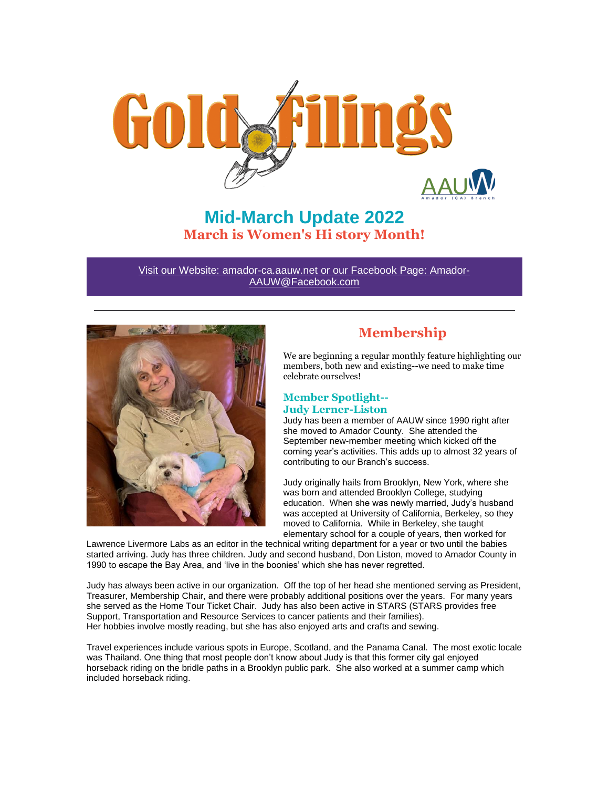

**Mid-March Update 2022 March is Women's Hi story Month!**

Visit our Website: amador-ca.aauw.net or our Facebook Page: Amador-AAUW@Facebook.com



# **Membership**

We are beginning a regular monthly feature highlighting our members, both new and existing--we need to make time celebrate ourselves!

# **Member Spotlight-- Judy Lerner-Liston**

Judy has been a member of AAUW since 1990 right after she moved to Amador County. She attended the September new-member meeting which kicked off the coming year's activities. This adds up to almost 32 years of contributing to our Branch's success.

Judy originally hails from Brooklyn, New York, where she was born and attended Brooklyn College, studying education. When she was newly married, Judy's husband was accepted at University of California, Berkeley, so they moved to California. While in Berkeley, she taught elementary school for a couple of years, then worked for

Lawrence Livermore Labs as an editor in the technical writing department for a year or two until the babies started arriving. Judy has three children. Judy and second husband, Don Liston, moved to Amador County in 1990 to escape the Bay Area, and 'live in the boonies' which she has never regretted.

Judy has always been active in our organization. Off the top of her head she mentioned serving as President, Treasurer, Membership Chair, and there were probably additional positions over the years. For many years she served as the Home Tour Ticket Chair. Judy has also been active in STARS (STARS provides free Support, Transportation and Resource Services to cancer patients and their families). Her hobbies involve mostly reading, but she has also enjoyed arts and crafts and sewing.

Travel experiences include various spots in Europe, Scotland, and the Panama Canal. The most exotic locale was Thailand. One thing that most people don't know about Judy is that this former city gal enjoyed horseback riding on the bridle paths in a Brooklyn public park. She also worked at a summer camp which included horseback riding.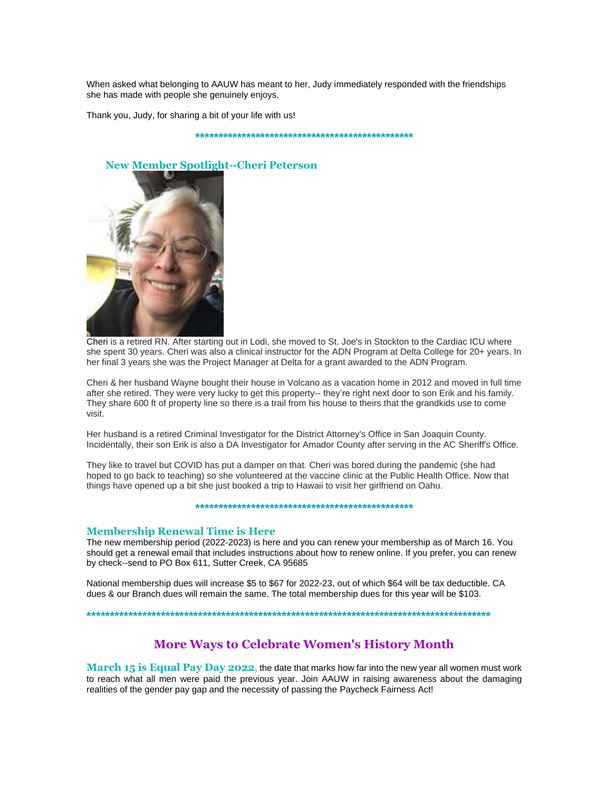When asked what belonging to AAUW has meant to her, Judy immediately responded with the friendships she has made with people she genuinely enjoys.

Thank you, Judy, for sharing a bit of your life with us!

**\*\*\*\*\*\*\*\*\*\*\*\*\*\*\*\*\*\*\*\*\*\*\*\*\*\*\*\*\*\*\*\*\*\*\*\*\*\*\*\*\*\*\*\*\*\*\***



#### **New Member Spotlight--Cheri Peterson**

Cheri is a retired RN. After starting out in Lodi, she moved to St. Joe's in Stockton to the Cardiac ICU where she spent 30 years. Cheri was also a clinical instructor for the ADN Program at Delta College for 20+ years. In her final 3 years she was the Project Manager at Delta for a grant awarded to the ADN Program.

Cheri & her husband Wayne bought their house in Volcano as a vacation home in 2012 and moved in full time after she retired. They were very lucky to get this property-- they're right next door to son Erik and his family. They share 600 ft of property line so there is a trail from his house to theirs that the grandkids use to come visit.

Her husband is a retired Criminal Investigator for the District Attorney's Office in San Joaquin County. Incidentally, their son Erik is also a DA Investigator for Amador County after serving in the AC Sheriff's Office.

They like to travel but COVID has put a damper on that. Cheri was bored during the pandemic (she had hoped to go back to teaching) so she volunteered at the vaccine clinic at the Public Health Office. Now that things have opened up a bit she just booked a trip to Hawaii to visit her girlfriend on Oahu.

#### **\*\*\*\*\*\*\*\*\*\*\*\*\*\*\*\*\*\*\*\*\*\*\*\*\*\*\*\*\*\*\*\*\*\*\*\*\*\*\*\*\*\*\*\*\*\*\***

#### **Membership Renewal Time is Here**

The new membership period (2022-2023) is here and you can renew your membership as of March 16. You should get a renewal email that includes instructions about how to renew online. If you prefer, you can renew by check--send to PO Box 611, Sutter Creek, CA 95685

National membership dues will increase \$5 to \$67 for 2022-23, out of which \$64 will be tax deductible. CA dues & our Branch dues will remain the same. The total membership dues for this year will be \$103.

**\*\*\*\*\*\*\*\*\*\*\*\*\*\*\*\*\*\*\*\*\*\*\*\*\*\*\*\*\*\*\*\*\*\*\*\*\*\*\*\*\*\*\*\*\*\*\*\*\*\*\*\*\*\*\*\*\*\*\*\*\*\*\*\*\*\*\*\*\*\*\*\*\*\*\*\*\*\*\*\*\*\*\*\*\*\*\***

# **More Ways to Celebrate Women's History Month**

**March 15 is Equal Pay Day 2022**, the date that marks how far into the new year all women must work to reach what all men were paid the previous year. Join AAUW in raising awareness about the damaging realities of the gender pay gap and the necessity of passing the Paycheck Fairness Act!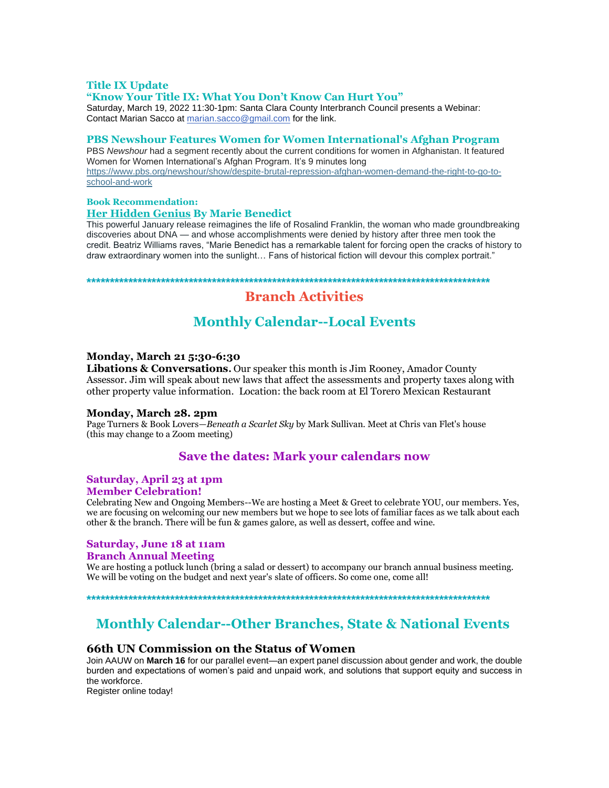# **Title IX Update**

### **"Know Your Title IX: What You Don't Know Can Hurt You"**

Saturday, March 19, 2022 11:30-1pm: Santa Clara County Interbranch Council presents a Webinar: Contact Marian Sacco at marian.sacco@gmail.com for the link.

### **PBS Newshour Features Women for Women International's Afghan Program**

PBS *Newshour* had a segment recently about the current conditions for women in Afghanistan. It featured Women for Women International's Afghan Program. It's 9 minutes long https://www.pbs.org/newshour/show/despite-brutal-repression-afghan-women-demand-the-right-to-go-toschool-and-work

# **Book Recommendation:**

# **Her Hidden Genius By Marie Benedict**

This powerful January release reimagines the life of Rosalind Franklin, the woman who made groundbreaking discoveries about DNA — and whose accomplishments were denied by history after three men took the credit. Beatriz Williams raves, "Marie Benedict has a remarkable talent for forcing open the cracks of history to draw extraordinary women into the sunlight… Fans of historical fiction will devour this complex portrait."

**\*\*\*\*\*\*\*\*\*\*\*\*\*\*\*\*\*\*\*\*\*\*\*\*\*\*\*\*\*\*\*\*\*\*\*\*\*\*\*\*\*\*\*\*\*\*\*\*\*\*\*\*\*\*\*\*\*\*\*\*\*\*\*\*\*\*\*\*\*\*\*\*\*\*\*\*\*\*\*\*\*\*\*\*\*\*\***

# **Branch Activities**

# **Monthly Calendar--Local Events**

### **Monday, March 21 5:30-6:30**

**Libations & Conversations.**Our speaker this month is Jim Rooney, Amador County Assessor. Jim will speak about new laws that affect the assessments and property taxes along with other property value information. Location: the back room at El Torero Mexican Restaurant

#### **Monday, March 28. 2pm**

Page Turners & Book Lovers—*Beneath a Scarlet Sky* by Mark Sullivan. Meet at Chris van Flet's house (this may change to a Zoom meeting)

# **Save the dates: Mark your calendars now**

# **Saturday, April 23 at 1pm**

**Member Celebration!**

Celebrating New and Ongoing Members--We are hosting a Meet & Greet to celebrate YOU, our members. Yes, we are focusing on welcoming our new members but we hope to see lots of familiar faces as we talk about each other & the branch. There will be fun & games galore, as well as dessert, coffee and wine.

# **Saturday, June 18 at 11am**

### **Branch Annual Meeting**

We are hosting a potluck lunch (bring a salad or dessert) to accompany our branch annual business meeting. We will be voting on the budget and next year's slate of officers. So come one, come all!

**\*\*\*\*\*\*\*\*\*\*\*\*\*\*\*\*\*\*\*\*\*\*\*\*\*\*\*\*\*\*\*\*\*\*\*\*\*\*\*\*\*\*\*\*\*\*\*\*\*\*\*\*\*\*\*\*\*\*\*\*\*\*\*\*\*\*\*\*\*\*\*\*\*\*\*\*\*\*\*\*\*\*\*\*\*\*\***

# **Monthly Calendar--Other Branches, State & National Events**

# **66th UN Commission on the Status of Women**

Join AAUW on **March 16** for our parallel event—an expert panel discussion about gender and work, the double burden and expectations of women's paid and unpaid work, and solutions that support equity and success in the workforce.

Register online today!